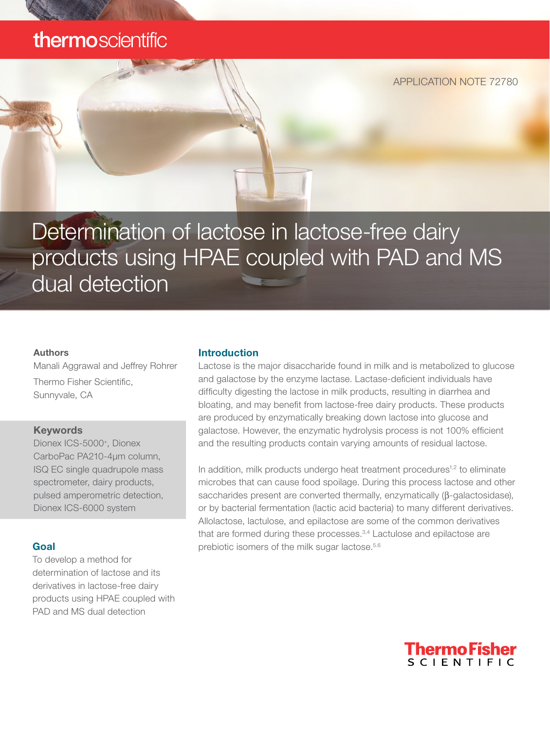# thermoscientific

APPLICATION NOTE 72780

Determination of lactose in lactose-free dairy products using HPAE coupled with PAD and MS dual detection

#### Authors

Manali Aggrawal and Jeffrey Rohrer Thermo Fisher Scientific, Sunnyvale, CA

#### Keywords

Dionex ICS-5000<sup>+</sup>, Dionex CarboPac PA210-4µm column, ISQ EC single quadrupole mass spectrometer, dairy products, pulsed amperometric detection, Dionex ICS-6000 system

#### Goal

To develop a method for determination of lactose and its derivatives in lactose-free dairy products using HPAE coupled with PAD and MS dual detection

#### Introduction

Lactose is the major disaccharide found in milk and is metabolized to glucose and galactose by the enzyme lactase. Lactase-deficient individuals have difficulty digesting the lactose in milk products, resulting in diarrhea and bloating, and may benefit from lactose-free dairy products. These products are produced by enzymatically breaking down lactose into glucose and galactose. However, the enzymatic hydrolysis process is not 100% efficient and the resulting products contain varying amounts of residual lactose.

In addition, milk products undergo heat treatment procedures<sup>1,2</sup> to eliminate microbes that can cause food spoilage. During this process lactose and other saccharides present are converted thermally, enzymatically (β-galactosidase), or by bacterial fermentation (lactic acid bacteria) to many different derivatives. Allolactose, lactulose, and epilactose are some of the common derivatives that are formed during these processes.<sup>3,4</sup> Lactulose and epilactose are prebiotic isomers of the milk sugar lactose.<sup>5.6</sup>

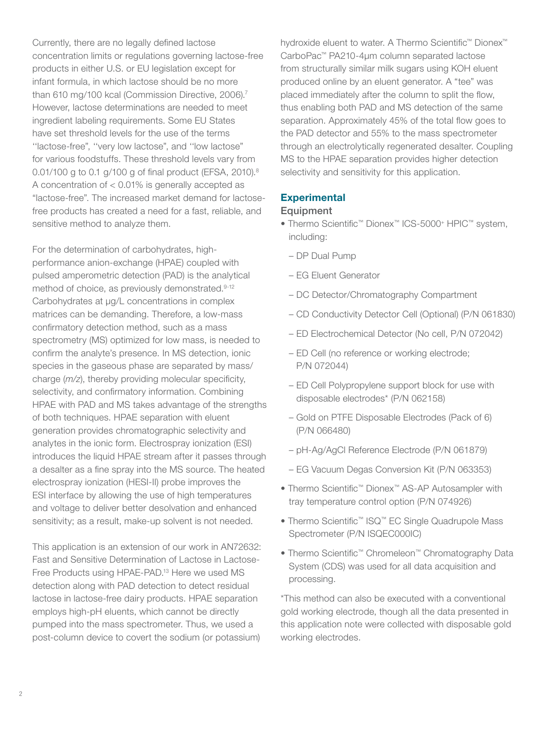Currently, there are no legally defined lactose concentration limits or regulations governing lactose-free products in either U.S. or EU legislation except for infant formula, in which lactose should be no more than 610 mg/100 kcal (Commission Directive, 2006).<sup>7</sup> However, lactose determinations are needed to meet ingredient labeling requirements. Some EU States have set threshold levels for the use of the terms ''lactose-free", ''very low lactose", and ''low lactose" for various foodstuffs. These threshold levels vary from 0.01/100 g to 0.1 g/100 g of final product (EFSA, 2010).<sup>8</sup> A concentration of < 0.01% is generally accepted as "lactose-free". The increased market demand for lactosefree products has created a need for a fast, reliable, and sensitive method to analyze them.

For the determination of carbohydrates, highperformance anion-exchange (HPAE) coupled with pulsed amperometric detection (PAD) is the analytical method of choice, as previously demonstrated.<sup>9-12</sup> Carbohydrates at μg/L concentrations in complex matrices can be demanding. Therefore, a low-mass confirmatory detection method, such as a mass spectrometry (MS) optimized for low mass, is needed to confirm the analyte's presence. In MS detection, ionic species in the gaseous phase are separated by mass/ charge (*m/z*), thereby providing molecular specificity, selectivity, and confirmatory information. Combining HPAE with PAD and MS takes advantage of the strengths of both techniques. HPAE separation with eluent generation provides chromatographic selectivity and analytes in the ionic form. Electrospray ionization (ESI) introduces the liquid HPAE stream after it passes through a desalter as a fine spray into the MS source. The heated electrospray ionization (HESI-II) probe improves the ESI interface by allowing the use of high temperatures and voltage to deliver better desolvation and enhanced sensitivity; as a result, make-up solvent is not needed.

This application is an extension of our work in AN72632: Fast and Sensitive Determination of Lactose in Lactose-Free Products using HPAE-PAD.13 Here we used MS detection along with PAD detection to detect residual lactose in lactose-free dairy products. HPAE separation employs high-pH eluents, which cannot be directly pumped into the mass spectrometer. Thus, we used a post-column device to covert the sodium (or potassium) hydroxide eluent to water. A Thermo Scientific™ Dionex™ CarboPac™ PA210-4μm column separated lactose from structurally similar milk sugars using KOH eluent produced online by an eluent generator. A "tee" was placed immediately after the column to split the flow, thus enabling both PAD and MS detection of the same separation. Approximately 45% of the total flow goes to the PAD detector and 55% to the mass spectrometer through an electrolytically regenerated desalter. Coupling MS to the HPAE separation provides higher detection selectivity and sensitivity for this application.

# **Experimental**

#### **Equipment**

- Thermo Scientific™ Dionex™ ICS-5000+ HPIC™ system, including:
	- DP Dual Pump
	- EG Eluent Generator
	- DC Detector/Chromatography Compartment
	- CD Conductivity Detector Cell (Optional) (P/N 061830)
	- ED Electrochemical Detector (No cell, P/N 072042)
	- ED Cell (no reference or working electrode; P/N 072044)
	- ED Cell Polypropylene support block for use with disposable electrodes\* (P/N 062158)
	- Gold on PTFE Disposable Electrodes (Pack of 6) (P/N 066480)
	- pH-Ag/AgCl Reference Electrode (P/N 061879)
	- EG Vacuum Degas Conversion Kit (P/N 063353)
- Thermo Scientific™ Dionex™ AS-AP Autosampler with tray temperature control option (P/N 074926)
- Thermo Scientific™ ISQ™ EC Single Quadrupole Mass Spectrometer (P/N ISQEC000IC)
- Thermo Scientific™ Chromeleon™ Chromatography Data System (CDS) was used for all data acquisition and processing.

\*This method can also be executed with a conventional gold working electrode, though all the data presented in this application note were collected with disposable gold working electrodes.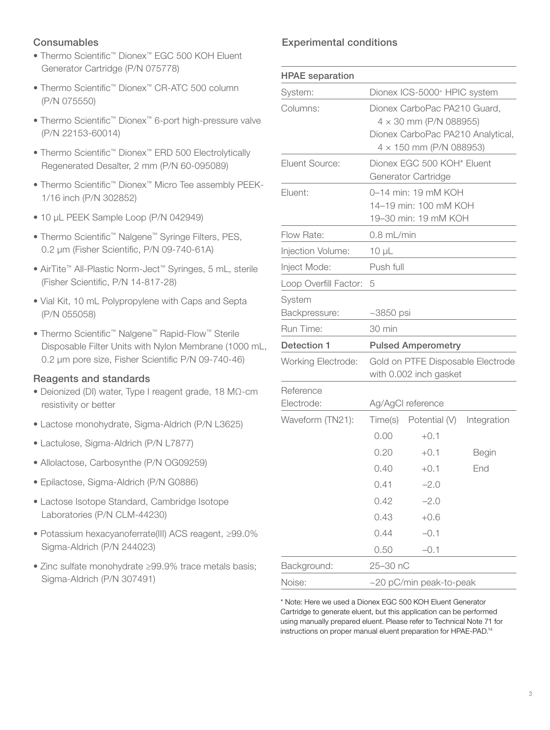# **Consumables**

- Thermo Scientific™ Dionex™ EGC 500 KOH Eluent Generator Cartridge (P/N 075778)
- Thermo Scientific™ Dionex™ CR-ATC 500 column (P/N 075550)
- Thermo Scientific™ Dionex™ 6-port high-pressure valve (P/N 22153-60014)
- Thermo Scientific™ Dionex™ ERD 500 Electrolytically Regenerated Desalter, 2 mm (P/N 60-095089)
- Thermo Scientific™ Dionex™ Micro Tee assembly PEEK-1/16 inch (P/N 302852)
- 10 μL PEEK Sample Loop (P/N 042949)
- Thermo Scientific™ Nalgene™ Syringe Filters, PES, 0.2 µm (Fisher Scientific, P/N 09-740-61A)
- AirTite™ All-Plastic Norm-Ject™ Syringes, 5 mL, sterile (Fisher Scientific, P/N 14-817-28)
- Vial Kit, 10 mL Polypropylene with Caps and Septa (P/N 055058)
- Thermo Scientific™ Nalgene™ Rapid-Flow™ Sterile Disposable Filter Units with Nylon Membrane (1000 mL, 0.2 µm pore size, Fisher Scientific P/N 09-740-46)

#### Reagents and standards

- Deionized (DI) water, Type I reagent grade, 18 MΩ-cm resistivity or better
- Lactose monohydrate, Sigma-Aldrich (P/N L3625)
- Lactulose, Sigma-Aldrich (P/N L7877)
- Allolactose, Carbosynthe (P/N OG09259)
- Epilactose, Sigma-Aldrich (P/N G0886)
- Lactose Isotope Standard, Cambridge Isotope Laboratories (P/N CLM-44230)
- Potassium hexacyanoferrate(III) ACS reagent, ≥99.0% Sigma-Aldrich (P/N 244023)
- Zinc sulfate monohydrate ≥99.9% trace metals basis; Sigma-Aldrich (P/N 307491)

# Experimental conditions

| <b>HPAE</b> separation  |                                                             |                                                                                                                                      |              |  |  |  |
|-------------------------|-------------------------------------------------------------|--------------------------------------------------------------------------------------------------------------------------------------|--------------|--|--|--|
| System:                 |                                                             | Dionex ICS-5000+ HPIC system                                                                                                         |              |  |  |  |
| Columns:                |                                                             | Dionex CarboPac PA210 Guard,<br>$4 \times 30$ mm (P/N 088955)<br>Dionex CarboPac PA210 Analytical,<br>$4 \times 150$ mm (P/N 088953) |              |  |  |  |
| <b>Eluent Source:</b>   |                                                             | Dionex EGC 500 KOH* Eluent<br>Generator Cartridge                                                                                    |              |  |  |  |
| Eluent:                 |                                                             | 0–14 min: 19 mM KOH<br>14-19 min: 100 mM KOH<br>19-30 min: 19 mM KOH                                                                 |              |  |  |  |
| Flow Rate:              | $0.8$ mL/min                                                |                                                                                                                                      |              |  |  |  |
| Injection Volume:       | $10 \mu L$                                                  |                                                                                                                                      |              |  |  |  |
| Inject Mode:            | Push full                                                   |                                                                                                                                      |              |  |  |  |
| Loop Overfill Factor:   | 5                                                           |                                                                                                                                      |              |  |  |  |
| System<br>Backpressure: | $~1$ 3850 psi                                               |                                                                                                                                      |              |  |  |  |
| Run Time:               | $30 \text{ min}$                                            |                                                                                                                                      |              |  |  |  |
| <b>Detection 1</b>      | <b>Pulsed Amperometry</b>                                   |                                                                                                                                      |              |  |  |  |
| Working Electrode:      | Gold on PTFE Disposable Electrode<br>with 0.002 inch gasket |                                                                                                                                      |              |  |  |  |
| Reference<br>Electrode: |                                                             | Ag/AgCl reference                                                                                                                    |              |  |  |  |
| Waveform (TN21):        | Time(s)<br>0.00                                             | Potential (V)<br>$+0.1$                                                                                                              | Integration  |  |  |  |
|                         | 0.20                                                        | $+0.1$                                                                                                                               | <b>Begin</b> |  |  |  |
|                         | 0.40                                                        | $+0.1$                                                                                                                               | End          |  |  |  |
|                         | 0.41                                                        | $-2.0$                                                                                                                               |              |  |  |  |
|                         | 0.42                                                        | $-2.0$                                                                                                                               |              |  |  |  |
|                         | 0.43                                                        | $+0.6$                                                                                                                               |              |  |  |  |
|                         | 0.44                                                        | $-0.1$                                                                                                                               |              |  |  |  |
|                         | 0.50                                                        | $-0.1$                                                                                                                               |              |  |  |  |
| Background:             | 25-30 nC                                                    |                                                                                                                                      |              |  |  |  |
| Noise:                  | ~20 pC/min peak-to-peak                                     |                                                                                                                                      |              |  |  |  |

\* Note: Here we used a Dionex EGC 500 KOH Eluent Generator Cartridge to generate eluent, but this application can be performed using manually prepared eluent. Please refer to Technical Note 71 for instructions on proper manual eluent preparation for HPAE-PAD.14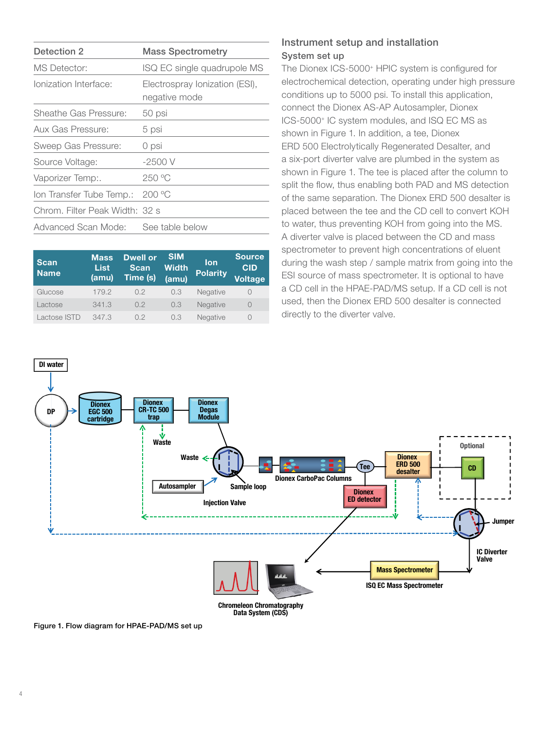| Detection 2                    | <b>Mass Spectrometry</b>                        |
|--------------------------------|-------------------------------------------------|
| <b>MS</b> Detector:            | ISQ EC single quadrupole MS                     |
| Ionization Interface:          | Electrospray Ionization (ESI),<br>negative mode |
| Sheathe Gas Pressure:          | 50 psi                                          |
| Aux Gas Pressure:              | 5 psi                                           |
| Sweep Gas Pressure:            | 0 psi                                           |
| Source Voltage:                | $-2500V$                                        |
| Vaporizer Temp:.               | 250 °C                                          |
| Ion Transfer Tube Temp.:       | 200°C                                           |
| Chrom. Filter Peak Width: 32 s |                                                 |
| Advanced Scan Mode:            | See table below                                 |

| <b>Scan</b><br><b>Name</b> | <b>Mass</b><br>List<br>(amu) | <b>Dwell or</b><br><b>Scan</b><br>Time (s) | <b>SIM</b><br><b>Width</b><br>(amu) | <b>lon</b><br><b>Polarity</b> | <b>Source</b><br><b>CID</b><br>Voltage |
|----------------------------|------------------------------|--------------------------------------------|-------------------------------------|-------------------------------|----------------------------------------|
| Glucose                    | 179.2                        | 0.2                                        | 0.3                                 | Negative                      | $\bigcirc$                             |
| Lactose                    | 341.3                        | 0.2                                        | 0.3                                 | Negative                      | $\Omega$                               |
| Lactose ISTD               | 347.3                        | 0.2                                        | 0.3                                 | Negative                      | 0                                      |

# Instrument setup and installation System set up

The Dionex ICS-5000<sup>+</sup> HPIC system is configured for electrochemical detection, operating under high pressure conditions up to 5000 psi. To install this application, connect the Dionex AS-AP Autosampler, Dionex ICS-5000+ IC system modules, and ISQ EC MS as shown in Figure 1. In addition, a tee, Dionex ERD 500 Electrolytically Regenerated Desalter, and a six-port diverter valve are plumbed in the system as shown in Figure 1. The tee is placed after the column to split the flow, thus enabling both PAD and MS detection of the same separation. The Dionex ERD 500 desalter is placed between the tee and the CD cell to convert KOH to water, thus preventing KOH from going into the MS. A diverter valve is placed between the CD and mass spectrometer to prevent high concentrations of eluent during the wash step / sample matrix from going into the ESI source of mass spectrometer. It is optional to have a CD cell in the HPAE-PAD/MS setup. If a CD cell is not used, then the Dionex ERD 500 desalter is connected directly to the diverter valve.



Figure 1. Flow diagram for HPAE-PAD/MS set up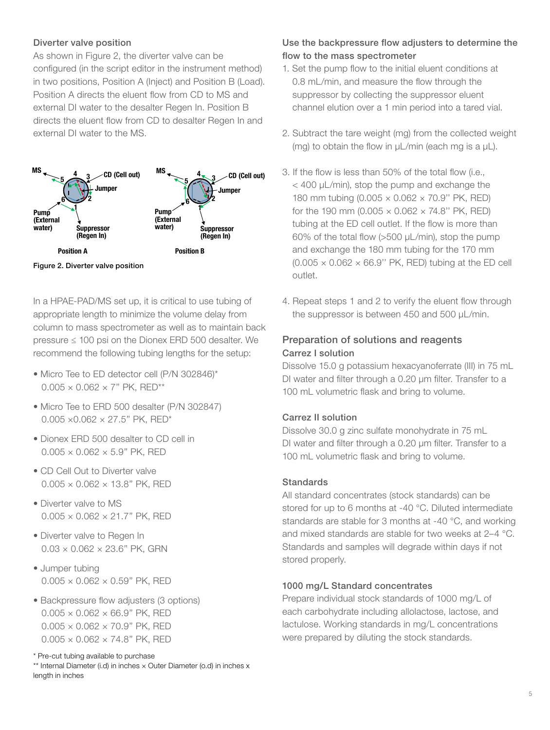#### Diverter valve position

As shown in Figure 2, the diverter valve can be configured (in the script editor in the instrument method) in two positions, Position A (Inject) and Position B (Load). Position A directs the eluent flow from CD to MS and external DI water to the desalter Regen In. Position B directs the eluent flow from CD to desalter Regen In and external DI water to the MS.



Figure 2. Diverter valve position

In a HPAE-PAD/MS set up, it is critical to use tubing of appropriate length to minimize the volume delay from column to mass spectrometer as well as to maintain back pressure ≤ 100 psi on the Dionex ERD 500 desalter. We recommend the following tubing lengths for the setup:

- Micro Tee to ED detector cell (P/N 302846)\*  $0.005 \times 0.062 \times 7"$  PK, RED\*\*
- Micro Tee to ERD 500 desalter (P/N 302847)  $0.005 \times 0.062 \times 27.5$ " PK, RED\*
- Dionex ERD 500 desalter to CD cell in  $0.005 \times 0.062 \times 5.9$ " PK, RED
- CD Cell Out to Diverter valve  $0.005 \times 0.062 \times 13.8$ " PK, RED
- Diverter valve to MS  $0.005 \times 0.062 \times 21.7$ " PK, RED
- Diverter valve to Regen In  $0.03 \times 0.062 \times 23.6$ " PK, GRN
- Jumper tubing  $0.005 \times 0.062 \times 0.59$ " PK, RED
- Backpressure flow adjusters (3 options)  $0.005 \times 0.062 \times 66.9$ " PK, RED  $0.005 \times 0.062 \times 70.9$ " PK, RED  $0.005 \times 0.062 \times 74.8$ " PK, RED

\* Pre-cut tubing available to purchase

\*\* Internal Diameter (i.d) in inches × Outer Diameter (o.d) in inches x length in inches

# Use the backpressure flow adjusters to determine the flow to the mass spectrometer

- 1. Set the pump flow to the initial eluent conditions at 0.8 mL/min, and measure the flow through the suppressor by collecting the suppressor eluent channel elution over a 1 min period into a tared vial.
- 2. Subtract the tare weight (mg) from the collected weight (mg) to obtain the flow in μL/min (each mg is a μL).
- 3. If the flow is less than 50% of the total flow (i.e., < 400 μL/min), stop the pump and exchange the 180 mm tubing (0.005 × 0.062 × 70.9'' PK, RED) for the 190 mm (0.005  $\times$  0.062  $\times$  74.8" PK, RED) tubing at the ED cell outlet. If the flow is more than 60% of the total flow (>500 μL/min), stop the pump and exchange the 180 mm tubing for the 170 mm  $(0.005 \times 0.062 \times 66.9$ " PK, RED) tubing at the ED cell outlet.
- 4. Repeat steps 1 and 2 to verify the eluent flow through the suppressor is between 450 and 500 µL/min.

# Preparation of solutions and reagents Carrez I solution

Dissolve 15.0 g potassium hexacyanoferrate (III) in 75 mL DI water and filter through a 0.20 μm filter. Transfer to a 100 mL volumetric flask and bring to volume.

# Carrez II solution

Dissolve 30.0 g zinc sulfate monohydrate in 75 mL DI water and filter through a 0.20 μm filter. Transfer to a 100 mL volumetric flask and bring to volume.

#### Standards

All standard concentrates (stock standards) can be stored for up to 6 months at -40 °C. Diluted intermediate standards are stable for 3 months at -40 °C, and working and mixed standards are stable for two weeks at 2–4 °C. Standards and samples will degrade within days if not stored properly.

#### 1000 mg/L Standard concentrates

Prepare individual stock standards of 1000 mg/L of each carbohydrate including allolactose, lactose, and lactulose. Working standards in mg/L concentrations were prepared by diluting the stock standards.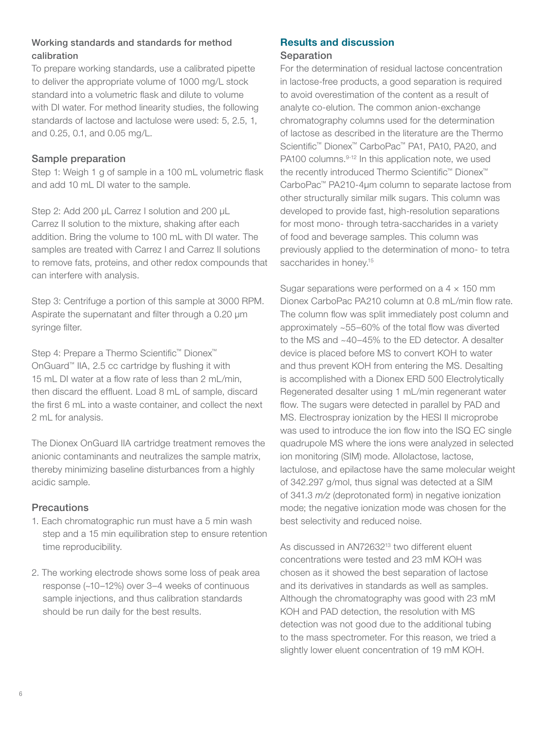# Working standards and standards for method calibration

To prepare working standards, use a calibrated pipette to deliver the appropriate volume of 1000 mg/L stock standard into a volumetric flask and dilute to volume with DI water. For method linearity studies, the following standards of lactose and lactulose were used: 5, 2.5, 1, and 0.25, 0.1, and 0.05 mg/L.

### Sample preparation

Step 1: Weigh 1 g of sample in a 100 mL volumetric flask and add 10 mL DI water to the sample.

Step 2: Add 200 μL Carrez I solution and 200 μL Carrez II solution to the mixture, shaking after each addition. Bring the volume to 100 mL with DI water. The samples are treated with Carrez I and Carrez II solutions to remove fats, proteins, and other redox compounds that can interfere with analysis.

Step 3: Centrifuge a portion of this sample at 3000 RPM. Aspirate the supernatant and filter through a 0.20 μm syringe filter.

Step 4: Prepare a Thermo Scientific™ Dionex™ OnGuard™ IIA, 2.5 cc cartridge by flushing it with 15 mL DI water at a flow rate of less than 2 mL/min, then discard the effluent. Load 8 mL of sample, discard the first 6 mL into a waste container, and collect the next 2 mL for analysis.

The Dionex OnGuard IIA cartridge treatment removes the anionic contaminants and neutralizes the sample matrix, thereby minimizing baseline disturbances from a highly acidic sample.

# **Precautions**

- 1. Each chromatographic run must have a 5 min wash step and a 15 min equilibration step to ensure retention time reproducibility.
- 2. The working electrode shows some loss of peak area response (~10–12%) over 3–4 weeks of continuous sample injections, and thus calibration standards should be run daily for the best results.

#### Results and discussion **Separation**

For the determination of residual lactose concentration in lactose-free products, a good separation is required to avoid overestimation of the content as a result of analyte co-elution. The common anion-exchange chromatography columns used for the determination of lactose as described in the literature are the Thermo Scientific™ Dionex™ CarboPac™ PA1, PA10, PA20, and PA100 columns.<sup>9-12</sup> In this application note, we used the recently introduced Thermo Scientific™ Dionex™ CarboPac™ PA210-4μm column to separate lactose from other structurally similar milk sugars. This column was developed to provide fast, high-resolution separations for most mono- through tetra-saccharides in a variety of food and beverage samples. This column was previously applied to the determination of mono- to tetra saccharides in honey.<sup>15</sup>

Sugar separations were performed on a  $4 \times 150$  mm Dionex CarboPac PA210 column at 0.8 mL/min flow rate. The column flow was split immediately post column and approximately ~55–60% of the total flow was diverted to the MS and ~40–45% to the ED detector. A desalter device is placed before MS to convert KOH to water and thus prevent KOH from entering the MS. Desalting is accomplished with a Dionex ERD 500 Electrolytically Regenerated desalter using 1 mL/min regenerant water flow. The sugars were detected in parallel by PAD and MS. Electrospray ionization by the HESI II microprobe was used to introduce the ion flow into the ISQ EC single quadrupole MS where the ions were analyzed in selected ion monitoring (SIM) mode. Allolactose, lactose, lactulose, and epilactose have the same molecular weight of 342.297 g/mol, thus signal was detected at a SIM of 341.3 *m/z* (deprotonated form) in negative ionization mode; the negative ionization mode was chosen for the best selectivity and reduced noise.

As discussed in AN72632<sup>13</sup> two different eluent concentrations were tested and 23 mM KOH was chosen as it showed the best separation of lactose and its derivatives in standards as well as samples. Although the chromatography was good with 23 mM KOH and PAD detection, the resolution with MS detection was not good due to the additional tubing to the mass spectrometer. For this reason, we tried a slightly lower eluent concentration of 19 mM KOH.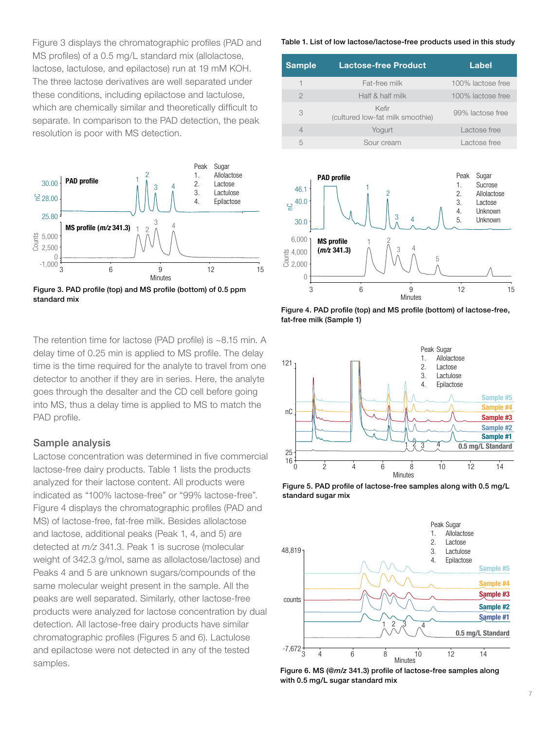Figure 3 displays the chromatographic profiles (PAD and MS profiles) of a 0.5 mg/L standard mix (allolactose, lactose, lactulose, and epilactose) run at 19 mM KOH. The three lactose derivatives are well separated under these conditions, including epilactose and lactulose, which are chemically similar and theoretically difficult to separate. In comparison to the PAD detection, the peak resolution is poor with MS detection.



Figure 3. PAD profile (top) and MS profile (bottom) of 0.5 ppm standard mix

The retention time for lactose (PAD profile) is ~8.15 min. A delay time of 0.25 min is applied to MS profile. The delay time is the time required for the analyte to travel from one detector to another if they are in series. Here, the analyte goes through the desalter and the CD cell before going into MS, thus a delay time is applied to MS to match the PAD profile.

#### Sample analysis

Lactose concentration was determined in five commercial lactose-free dairy products. Table 1 lists the products analyzed for their lactose content. All products were indicated as "100% lactose-free" or "99% lactose-free". Figure 4 displays the chromatographic profiles (PAD and MS) of lactose-free, fat-free milk. Besides allolactose and lactose, additional peaks (Peak 1, 4, and 5) are detected at *m/z* 341.3. Peak 1 is sucrose (molecular weight of 342.3 g/mol, same as allolactose/lactose) and Peaks 4 and 5 are unknown sugars/compounds of the same molecular weight present in the sample. All the peaks are well separated. Similarly, other lactose-free products were analyzed for lactose concentration by dual detection. All lactose-free dairy products have similar chromatographic profiles (Figures 5 and 6). Lactulose and epilactose were not detected in any of the tested samples.

#### Table 1. List of low lactose/lactose-free products used in this study

| Sample         | <b>Lactose-free Product</b>               | Label             |
|----------------|-------------------------------------------|-------------------|
| 1              | Fat-free milk                             | 100% lactose free |
| $\mathfrak{D}$ | Half & half milk                          | 100% lactose free |
| 3              | Kefir<br>(cultured low-fat milk smoothie) | 99% lactose free  |
| $\overline{4}$ | Yogurt                                    | Lactose free      |
| 5              | Sour cream                                | Lactose free      |
|                |                                           |                   |



Figure 4. PAD profile (top) and MS profile (bottom) of lactose-free, fat-free milk (Sample 1)



Figure 5. PAD profile of lactose-free samples along with 0.5 mg/L standard sugar mix



Figure 6. MS (@*m/z* 341.3) profile of lactose-free samples along with 0.5 mg/L sugar standard mix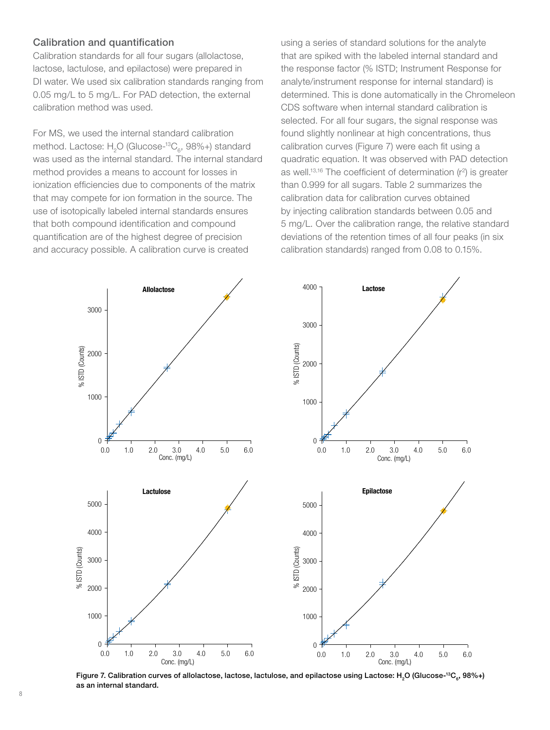#### Calibration and quantification

Calibration standards for all four sugars (allolactose, lactose, lactulose, and epilactose) were prepared in DI water. We used six calibration standards ranging from 0.05 mg/L to 5 mg/L. For PAD detection, the external calibration method was used.

For MS, we used the internal standard calibration method. Lactose: H<sub>2</sub>O (Glucose-<sup>13</sup>C<sub>c</sub>, 98%+) standard was used as the internal standard. The internal standard method provides a means to account for losses in ionization efficiencies due to components of the matrix that may compete for ion formation in the source. The use of isotopically labeled internal standards ensures that both compound identification and compound quantification are of the highest degree of precision and accuracy possible. A calibration curve is created

using a series of standard solutions for the analyte that are spiked with the labeled internal standard and the response factor (% ISTD; Instrument Response for analyte/instrument response for internal standard) is determined. This is done automatically in the Chromeleon CDS software when internal standard calibration is selected. For all four sugars, the signal response was found slightly nonlinear at high concentrations, thus calibration curves (Figure 7) were each fit using a quadratic equation. It was observed with PAD detection as well.<sup>13,16</sup> The coefficient of determination  $(r^2)$  is greater than 0.999 for all sugars. Table 2 summarizes the calibration data for calibration curves obtained by injecting calibration standards between 0.05 and 5 mg/L. Over the calibration range, the relative standard deviations of the retention times of all four peaks (in six calibration standards) ranged from 0.08 to 0.15%.



Figure 7. Calibration curves of allolactose, lactose, lactulose, and epilactose using Lactose: H<sub>2</sub>O (Glucose-<sup>13</sup>C<sub>a</sub>, 98%+) as an internal standard.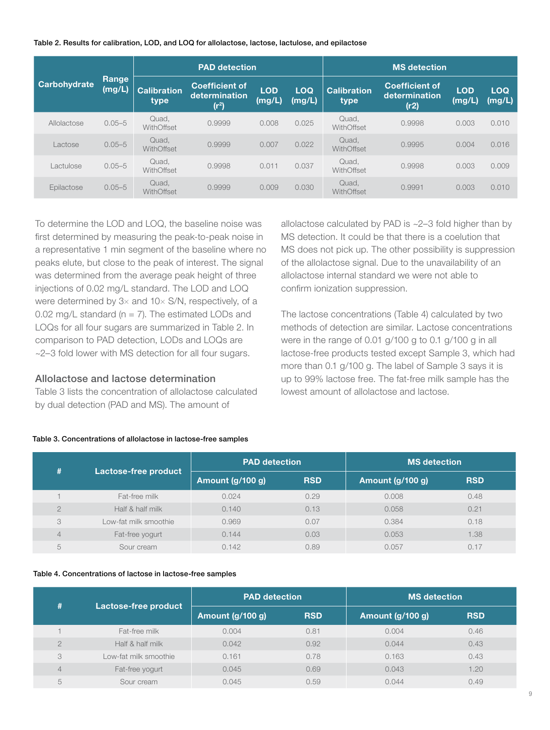Table 2. Results for calibration, LOD, and LOQ for allolactose, lactose, lactulose, and epilactose

|              |                 |                            | <b>PAD</b> detection                                        |                      |                      |                            | <b>MS</b> detection                            |                      |                      |
|--------------|-----------------|----------------------------|-------------------------------------------------------------|----------------------|----------------------|----------------------------|------------------------------------------------|----------------------|----------------------|
| Carbohydrate | Range<br>(mg/L) | <b>Calibration</b><br>type | <b>Coefficient of</b><br>determination<br>(r <sup>2</sup> ) | <b>LOD</b><br>(mg/L) | <b>LOQ</b><br>(mg/L) | <b>Calibration</b><br>type | <b>Coefficient of</b><br>determination<br>(r2) | <b>LOD</b><br>(mg/L) | <b>LOQ</b><br>(mg/L) |
| Allolactose  | $0.05 - 5$      | Quad,<br>WithOffset        | 0.9999                                                      | 0.008                | 0.025                | Quad.<br>WithOffset        | 0.9998                                         | 0.003                | 0.010                |
| Lactose      | $0.05 - 5$      | Quad.<br>WithOffset        | 0.9999                                                      | 0.007                | 0.022                | Quad.<br>WithOffset        | 0.9995                                         | 0.004                | 0.016                |
| Lactulose    | $0.05 - 5$      | Quad,<br>WithOffset        | 0.9998                                                      | 0.011                | 0.037                | Quad,<br>WithOffset        | 0.9998                                         | 0.003                | 0.009                |
| Epilactose   | $0.05 - 5$      | Quad,<br>WithOffset        | 0.9999                                                      | 0.009                | 0.030                | Quad,<br>WithOffset        | 0.9991                                         | 0.003                | 0.010                |

To determine the LOD and LOQ, the baseline noise was first determined by measuring the peak-to-peak noise in a representative 1 min segment of the baseline where no peaks elute, but close to the peak of interest. The signal was determined from the average peak height of three injections of 0.02 mg/L standard. The LOD and LOQ were determined by 3× and 10× S/N, respectively, of a 0.02 mg/L standard ( $n = 7$ ). The estimated LODs and LOQs for all four sugars are summarized in Table 2. In comparison to PAD detection, LODs and LOQs are ~2–3 fold lower with MS detection for all four sugars.

#### Allolactose and lactose determination

Table 3 lists the concentration of allolactose calculated by dual detection (PAD and MS). The amount of

allolactose calculated by PAD is ~2–3 fold higher than by MS detection. It could be that there is a coelution that MS does not pick up. The other possibility is suppression of the allolactose signal. Due to the unavailability of an allolactose internal standard we were not able to confirm ionization suppression.

The lactose concentrations (Table 4) calculated by two methods of detection are similar. Lactose concentrations were in the range of 0.01 g/100 g to 0.1 g/100 g in all lactose-free products tested except Sample 3, which had more than 0.1 g/100 g. The label of Sample 3 says it is up to 99% lactose free. The fat-free milk sample has the lowest amount of allolactose and lactose.

| #<br>Lactose-free product |                       | <b>PAD</b> detection |                  | <b>MS</b> detection |      |
|---------------------------|-----------------------|----------------------|------------------|---------------------|------|
|                           | Amount (g/100 g)      | <b>RSD</b>           | Amount (g/100 g) | <b>RSD</b>          |      |
|                           | Fat-free milk         | 0.024                | 0.29             | 0.008               | 0.48 |
| $\bigcirc$                | Half & half milk      | 0.140                | 0.13             | 0.058               | 0.21 |
| 3                         | Low-fat milk smoothie | 0.969                | 0.07             | 0.384               | 0.18 |
| 4                         | Fat-free yogurt       | 0.144                | 0.03             | 0.053               | 1.38 |
| $\overline{ }$<br>b       | Sour cream            | 0.142                | 0.89             | 0.057               | 0.17 |

#### Table 3. Concentrations of allolactose in lactose-free samples

#### Table 4. Concentrations of lactose in lactose-free samples

| #<br>Lactose-free product |                       | <b>PAD</b> detection |            | <b>MS</b> detection |            |
|---------------------------|-----------------------|----------------------|------------|---------------------|------------|
|                           |                       | Amount (g/100 g)     | <b>RSD</b> | Amount (g/100 g)    | <b>RSD</b> |
|                           | Fat-free milk         | 0.004                | 0.81       | 0.004               | 0.46       |
| $\circ$                   | Half & half milk      | 0.042                | 0.92       | 0.044               | 0.43       |
| 3                         | Low-fat milk smoothie | 0.161                | 0.78       | 0.163               | 0.43       |
| 4                         | Fat-free yogurt       | 0.045                | 0.69       | 0.043               | 1.20       |
| 5                         | Sour cream            | 0.045                | 0.59       | 0.044               | 0.49       |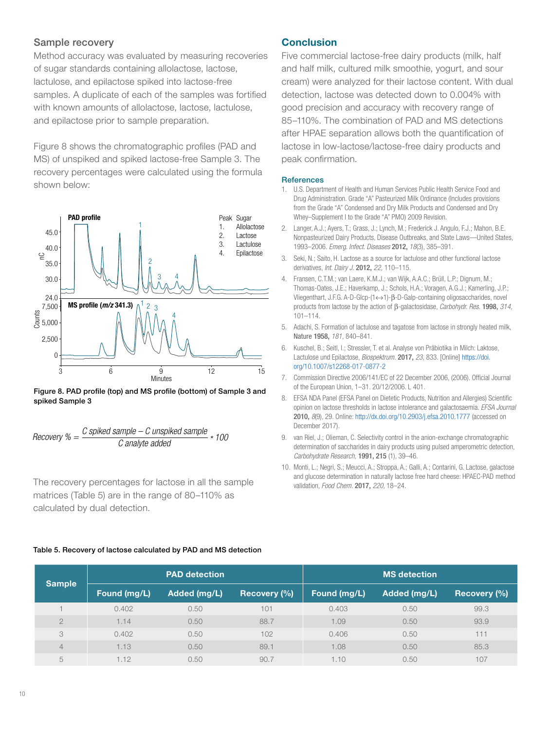#### Sample recovery

Method accuracy was evaluated by measuring recoveries of sugar standards containing allolactose, lactose, lactulose, and epilactose spiked into lactose-free samples. A duplicate of each of the samples was fortified with known amounts of allolactose, lactose, lactulose, and epilactose prior to sample preparation.

Figure 8 shows the chromatographic profiles (PAD and MS) of unspiked and spiked lactose-free Sample 3. The recovery percentages were calculated using the formula shown below:



Figure 8. PAD profile (top) and MS profile (bottom) of Sample 3 and spiked Sample 3

$$
Recovery % = \frac{C \text{ spiked sample} - C \text{ unspiked sample}}{C \text{ analytic added}} * 100
$$

The recovery percentages for lactose in all the sample matrices (Table 5) are in the range of 80–110% as calculated by dual detection.

#### Table 5. Recovery of lactose calculated by PAD and MS detection

#### **Conclusion**

Five commercial lactose-free dairy products (milk, half and half milk, cultured milk smoothie, yogurt, and sour cream) were analyzed for their lactose content. With dual detection, lactose was detected down to 0.004% with good precision and accuracy with recovery range of 85–110%. The combination of PAD and MS detections after HPAE separation allows both the quantification of lactose in low-lactose/lactose-free dairy products and peak confirmation.

#### **References**

- 1. U.S. Department of Health and Human Services Public Health Service Food and Drug Administration. Grade "A" Pasteurized Milk Ordinance (Includes provisions from the Grade "A" Condensed and Dry Milk Products and Condensed and Dry Whey–Supplement I to the Grade "A" PMO) 2009 Revision.
- 2. Langer, A.J.; Ayers, T.; Grass, J.; Lynch, M.; Frederick J. Angulo, F.J.; Mahon, B.E. Nonpasteurized Dairy Products, Disease Outbreaks, and State Laws—United States, 1993–2006. *Emerg. Infect. Diseases* 2012, *18*(3), 385–391.
- 3. Seki, N.; Saito, H. Lactose as a source for lactulose and other functional lactose derivatives, *Int. Dairy J.* 2012, *22,* 110–115.
- 4. Fransen, C.T.M.; van Laere, K.M.J.; van Wijk, A.A.C.; Brüll, L.P.; Dignum, M.; Thomas-Oates, J.E.; Haverkamp, J.; Schols, H.A.; Voragen, A.G.J.; Kamerling, J.P.; Vliegenthart, J.F.G. A-D-Glcp-(1↔1)-β-D-Galp-containing oligosaccharides, novel products from lactose by the action of β-galactosidase, *Carbohydr. Res.* 1998, *314,* 101–114.
- 5. Adachi, S. Formation of lactulose and tagatose from lactose in strongly heated milk, Nature 1958, *181,* 840–841.
- 6. Kuschel, B.; Seitl, I.; Stressler, T. et al. Analyse von Präbiotika in Milch: Laktose, Lactulose und Epilactose, *Biospektrum.* 2017, *23,* 833. [Online] [https://doi.](https://doi.org/10.1007/s12268-017-0877-2) [org/10.1007/s12268-017-0877-2](https://doi.org/10.1007/s12268-017-0877-2)
- 7. Commission Directive 2006/141/EC of 22 December 2006, (2006). Official Journal of the European Union, 1–31. 20/12/2006. L 401.
- 8. EFSA NDA Panel (EFSA Panel on Dietetic Products, Nutrition and Allergies) Scientific opinion on lactose thresholds in lactose intolerance and galactosaemia. *EFSA Journal* 2010, *8*(9), 29. Online: <http://dx.doi.org/10.2903/j.efsa.2010.1777> (accessed on December 2017).
- 9. van Riel, J.; Olieman, C. Selectivity control in the anion-exchange chromatographic determination of saccharides in dairy products using pulsed amperometric detection, *Carbohydrate Research,* 1991, 215 (1), 39–46.
- 10. Monti, L.; Negri, S.; Meucci, A.; Stroppa, A.; Galli, A.; Contarini, G. Lactose, galactose and glucose determination in naturally lactose free hard cheese: HPAEC-PAD method validation, *Food Chem.* 2017, *220,* 18–24.

| <b>Sample</b>  | <b>PAD detection</b> |              |              | <b>MS</b> detection |              |              |
|----------------|----------------------|--------------|--------------|---------------------|--------------|--------------|
|                | Found (mg/L)         | Added (mg/L) | Recovery (%) | Found (mg/L)        | Added (mg/L) | Recovery (%) |
|                | 0.402                | 0.50         | 101          | 0.403               | 0.50         | 99.3         |
| $\overline{2}$ | 1.14                 | 0.50         | 88.7         | 1.09                | 0.50         | 93.9         |
| 3              | 0.402                | 0.50         | 102          | 0.406               | 0.50         | 111          |
| 4              | 1.13                 | 0.50         | 89.1         | 1.08                | 0.50         | 85.3         |
| 5              | 1.12                 | 0.50         | 90.7         | 1.10                | 0.50         | 107          |